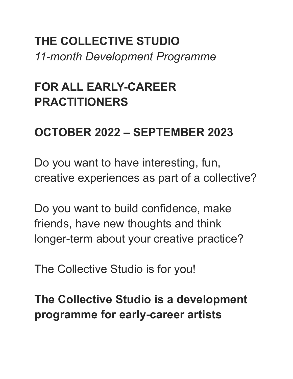**THE COLLECTIVE STUDIO** *11-month Development Programme*

# **FOR ALL EARLY-CAREER PRACTITIONERS**

### **OCTOBER 2022 – SEPTEMBER 2023**

Do you want to have interesting, fun, creative experiences as part of a collective?

Do you want to build confidence, make friends, have new thoughts and think longer-term about your creative practice?

The Collective Studio is for you!

**The Collective Studio is a development programme for early-career artists**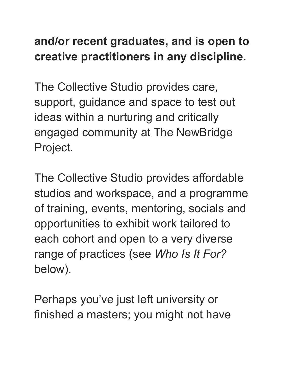## **and/or recent graduates, and is open to creative practitioners in any discipline.**

The Collective Studio provides care, support, guidance and space to test out ideas within a nurturing and critically engaged community at The NewBridge Project.

The Collective Studio provides affordable studios and workspace, and a programme of training, events, mentoring, socials and opportunities to exhibit work tailored to each cohort and open to a very diverse range of practices (see *Who Is It For?* below).

Perhaps you've just left university or finished a masters; you might not have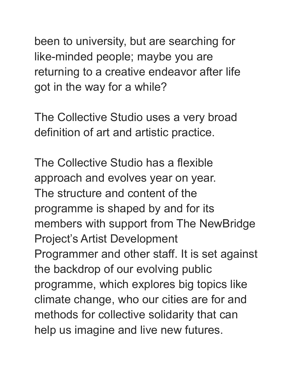been to university, but are searching for like-minded people; maybe you are returning to a creative endeavor after life got in the way for a while?

The Collective Studio uses a very broad definition of art and artistic practice.

The Collective Studio has a flexible approach and evolves year on year. The structure and content of the programme is shaped by and for its members with support from The NewBridge Project's Artist Development Programmer and other staff. It is set against the backdrop of our evolving public programme, which explores big topics like climate change, who our cities are for and methods for collective solidarity that can help us imagine and live new futures.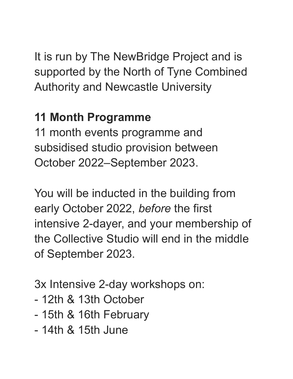It is run by The NewBridge Project and is supported by the North of Tyne Combined Authority and Newcastle University

## **11 Month Programme**

11 month events programme and subsidised studio provision between October 2022–September 2023.

You will be inducted in the building from early October 2022, *before* the first intensive 2-dayer, and your membership of the Collective Studio will end in the middle of September 2023.

3x Intensive 2-day workshops on:

- 12th & 13th October
- 15th & 16th February
- 14th & 15th June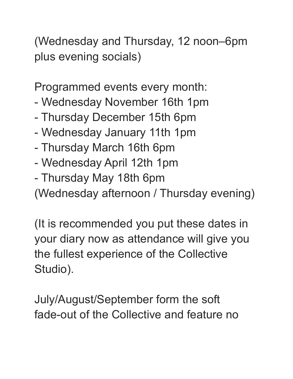(Wednesday and Thursday, 12 noon–6pm plus evening socials)

Programmed events every month:

- Wednesday November 16th 1pm
- Thursday December 15th 6pm
- Wednesday January 11th 1pm
- Thursday March 16th 6pm
- Wednesday April 12th 1pm
- Thursday May 18th 6pm

(Wednesday afternoon / Thursday evening)

(It is recommended you put these dates in your diary now as attendance will give you the fullest experience of the Collective Studio).

July/August/September form the soft fade-out of the Collective and feature no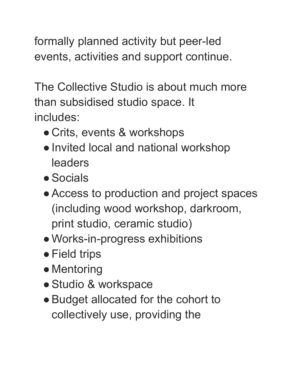formally planned activity but peer-led events, activities and support continue.

The Collective Studio is about much more than subsidised studio space. It includes:

- Crits, events & workshops
- ●Invited local and national workshop leaders
- ●Socials
- Access to production and project spaces (including wood workshop, darkroom, print studio, ceramic studio)
- ●Works-in-progress exhibitions
- Field trips
- Mentoring
- ●Studio & workspace
- ●Budget allocated for the cohort to collectively use, providing the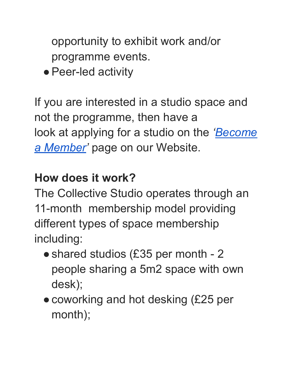opportunity to exhibit work and/or programme events.

• Peer-led activity

If you are interested in a studio space and not the programme, then have a look at applying for a studio on the *'[Become](https://thenewbridgeproject.com/become-a-member/) [a Member](https://thenewbridgeproject.com/become-a-member/)'* page on our Website.

### **How does it work?**

The Collective Studio operates through an 11-month membership model providing different types of space membership including:

- shared studios (£35 per month 2 people sharing a 5m2 space with own desk);
- coworking and hot desking (£25 per month);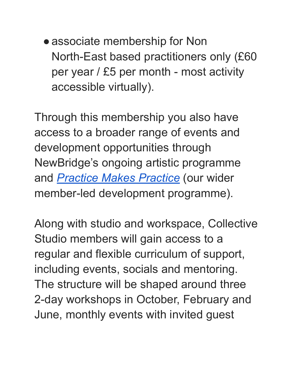• associate membership for Non North-East based practitioners only (£60 per year / £5 per month - most activity accessible virtually).

Through this membership you also have access to a broader range of events and development opportunities through NewBridge's ongoing artistic programme and *[Practice Makes Practice](https://thenewbridgeproject.com/artist-development/practice-makes-practice/)* (our wider member-led development programme).

Along with studio and workspace, Collective Studio members will gain access to a regular and flexible curriculum of support, including events, socials and mentoring. The structure will be shaped around three 2-day workshops in October, February and June, monthly events with invited guest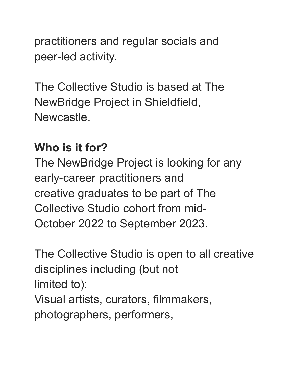practitioners and regular socials and peer-led activity.

The Collective Studio is based at The NewBridge Project in Shieldfield, Newcastle.

#### **Who is it for?**

The NewBridge Project is looking for any early-career practitioners and creative graduates to be part of The Collective Studio cohort from mid-October 2022 to September 2023.

The Collective Studio is open to all creative disciplines including (but not limited to): Visual artists, curators, filmmakers, photographers, performers,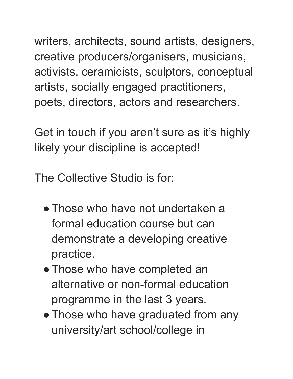writers, architects, sound artists, designers, creative producers/organisers, musicians, activists, ceramicists, sculptors, conceptual artists, socially engaged practitioners, poets, directors, actors and researchers.

Get in touch if you aren't sure as it's highly likely your discipline is accepted!

The Collective Studio is for:

- Those who have not undertaken a formal education course but can demonstrate a developing creative practice.
- Those who have completed an alternative or non-formal education programme in the last 3 years.
- Those who have graduated from any university/art school/college in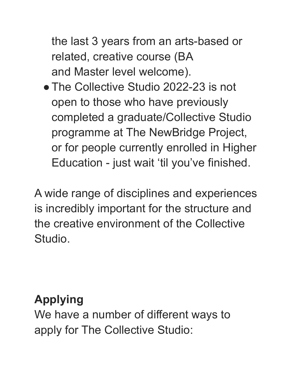the last 3 years from an arts-based or related, creative course (BA and Master level welcome).

• The Collective Studio 2022-23 is not open to those who have previously completed a graduate/Collective Studio programme at The NewBridge Project, or for people currently enrolled in Higher Education - just wait 'til you've finished.

A wide range of disciplines and experiences is incredibly important for the structure and the creative environment of the Collective Studio.

### **Applying**

We have a number of different ways to apply for The Collective Studio: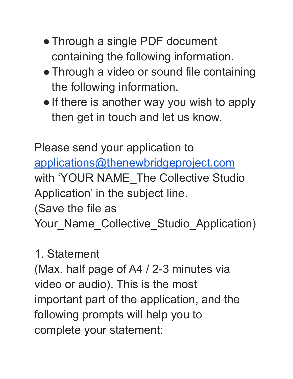- Through a single PDF document containing the following information.
- Through a video or sound file containing the following information.
- If there is another way you wish to apply then get in touch and let us know.

Please send your application to [applications@thenewbridgeproject.com](mailto:applications@thenewbridgeproject.com) with 'YOUR NAME The Collective Studio Application' in the subject line. (Save the file as Your\_Name\_Collective\_Studio\_Application)

### 1. Statement

(Max. half page of A4 / 2-3 minutes via video or audio). This is the most important part of the application, and the following prompts will help you to complete your statement: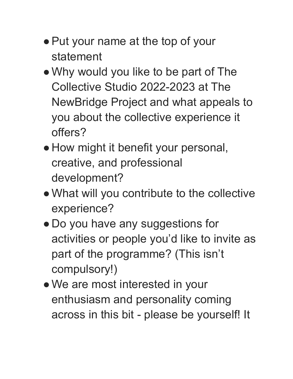- Put your name at the top of your statement
- ●Why would you like to be part of The Collective Studio 2022-2023 at The NewBridge Project and what appeals to you about the collective experience it offers?
- How might it benefit your personal, creative, and professional development?
- ●What will you contribute to the collective experience?
- Do you have any suggestions for activities or people you'd like to invite as part of the programme? (This isn't compulsory!)
- We are most interested in your enthusiasm and personality coming across in this bit - please be yourself! It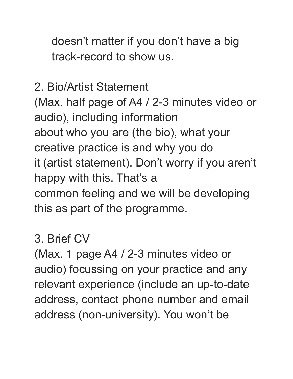doesn't matter if you don't have a big track-record to show us.

2. Bio/Artist Statement (Max. half page of A4 / 2-3 minutes video or audio), including information about who you are (the bio), what your creative practice is and why you do it (artist statement). Don't worry if you aren't happy with this. That's a common feeling and we will be developing this as part of the programme.

#### 3. Brief CV

(Max. 1 page A4 / 2-3 minutes video or audio) focussing on your practice and any relevant experience (include an up-to-date address, contact phone number and email address (non-university). You won't be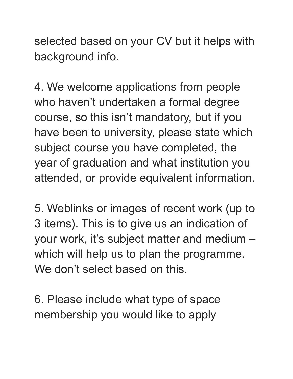selected based on your CV but it helps with background info.

4. We welcome applications from people who haven't undertaken a formal degree course, so this isn't mandatory, but if you have been to university, please state which subject course you have completed, the year of graduation and what institution you attended, or provide equivalent information.

5. Weblinks or images of recent work (up to 3 items). This is to give us an indication of your work, it's subject matter and medium – which will help us to plan the programme. We don't select based on this.

6. Please include what type of space membership you would like to apply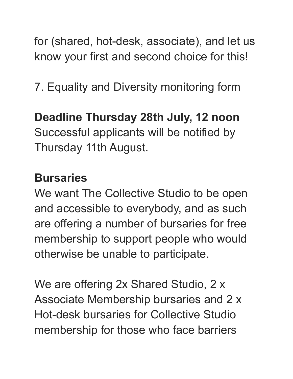for (shared, hot-desk, associate), and let us know your first and second choice for this!

7. Equality and Diversity monitoring form

#### **Deadline Thursday 28th July, 12 noon**

Successful applicants will be notified by Thursday 11th August.

#### **Bursaries**

We want The Collective Studio to be open and accessible to everybody, and as such are offering a number of bursaries for free membership to support people who would otherwise be unable to participate.

We are offering 2x Shared Studio, 2 x Associate Membership bursaries and 2 x Hot-desk bursaries for Collective Studio membership for those who face barriers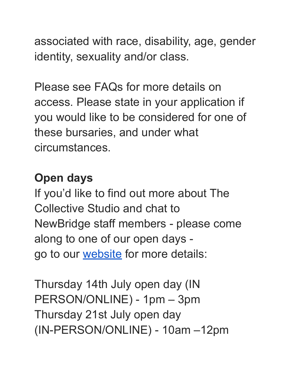associated with race, disability, age, gender identity, sexuality and/or class.

Please see FAQs for more details on access. Please state in your application if you would like to be considered for one of these bursaries, and under what circumstances.

## **Open days**

If you'd like to find out more about The Collective Studio and chat to NewBridge staff members - please come along to one of our open days go to our [website](https://thenewbridgeproject.com/events/collective-studio-open-days/) for more details:

Thursday 14th July open day (IN PERSON/ONLINE) - 1pm – 3pm Thursday 21st July open day (IN-PERSON/ONLINE) - 10am –12pm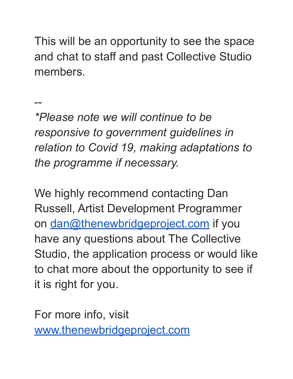This will be an opportunity to see the space and chat to staff and past Collective Studio members.

--

*\*Please note we will continue to be responsive to government guidelines in relation to Covid 19, making adaptations to the programme if necessary.*

We highly recommend contacting Dan Russell, Artist Development Programmer on [dan@thenewbridgeproject.com](mailto:dan@thenewbridgeproject.com) if you have any questions about The Collective Studio, the application process or would like to chat more about the opportunity to see if it is right for you.

For more info, visit [www.thenewbridgeproject.com](http://www.thenewbridgeproject.com)